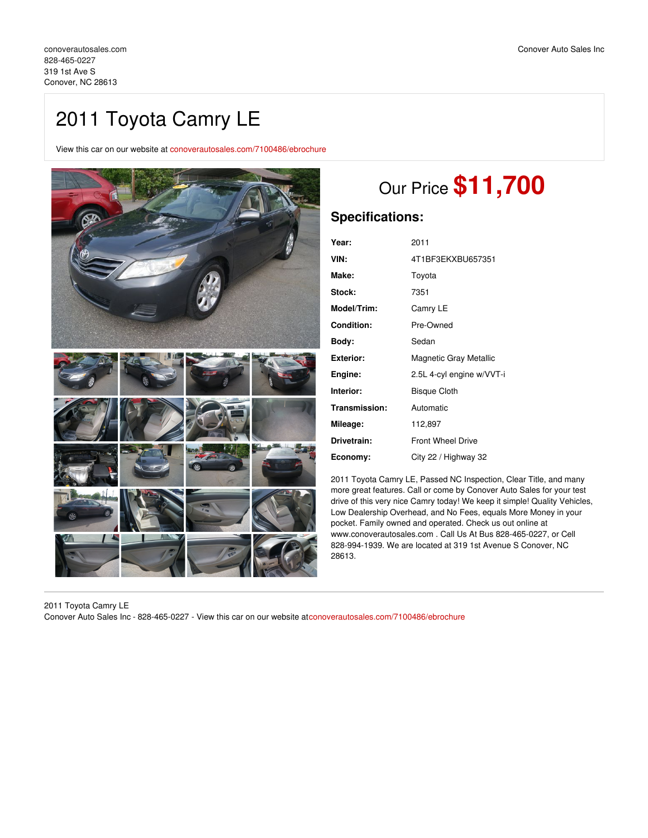## 2011 Toyota Camry LE

View this car on our website at [conoverautosales.com/7100486/ebrochure](https://conoverautosales.com/vehicle/7100486/2011-toyota-camry-le-conover-nc-28613/7100486/ebrochure)



# Our Price **\$11,700**

## **Specifications:**

| Year:              | 2011                      |
|--------------------|---------------------------|
| VIN:               | 4T1BF3EKXBU657351         |
| Make:              | Toyota                    |
| Stock:             | 7351                      |
| <b>Model/Trim:</b> | Camry LE                  |
| Condition:         | Pre-Owned                 |
| Body:              | Sedan                     |
| Exterior:          | Magnetic Gray Metallic    |
| Engine:            | 2.5L 4-cyl engine w/VVT-i |
| Interior:          | <b>Bisque Cloth</b>       |
| Transmission:      | Automatic                 |
| Mileage:           | 112,897                   |
| Drivetrain:        | <b>Front Wheel Drive</b>  |
| Economy:           | City 22 / Highway 32      |

2011 Toyota Camry LE, Passed NC Inspection, Clear Title, and many more great features. Call or come by Conover Auto Sales for your test drive of this very nice Camry today! We keep it simple! Quality Vehicles, Low Dealership Overhead, and No Fees, equals More Money in your pocket. Family owned and operated. Check us out online at www.conoverautosales.com . Call Us At Bus 828-465-0227, or Cell 828-994-1939. We are located at 319 1st Avenue S Conover, NC 28613.

2011 Toyota Camry LE Conover Auto Sales Inc - 828-465-0227 - View this car on our website at[conoverautosales.com/7100486/ebrochure](https://conoverautosales.com/vehicle/7100486/2011-toyota-camry-le-conover-nc-28613/7100486/ebrochure)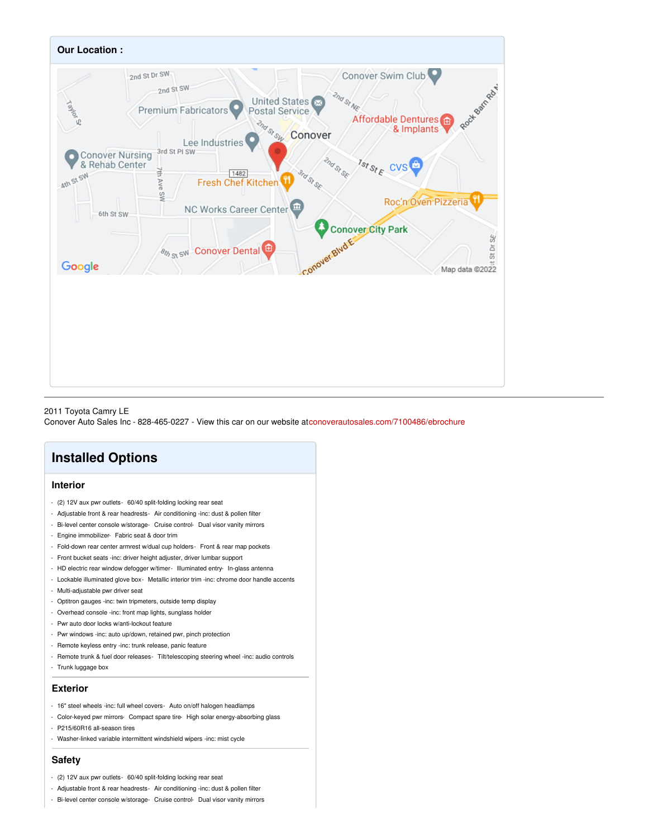

#### 2011 Toyota Camry LE

Conover Auto Sales Inc - 828-465-0227 - View this car on our website at[conoverautosales.com/7100486/ebrochure](https://conoverautosales.com/vehicle/7100486/2011-toyota-camry-le-conover-nc-28613/7100486/ebrochure)

## **Installed Options**

#### **Interior**

- (2) 12V aux pwr outlets- 60/40 split-folding locking rear seat
- Adjustable front & rear headrests- Air conditioning -inc: dust & pollen filter
- Bi-level center console w/storage- Cruise control- Dual visor vanity mirrors
- Engine immobilizer- Fabric seat & door trim
- Fold-down rear center armrest w/dual cup holders- Front & rear map pockets
- Front bucket seats -inc: driver height adjuster, driver lumbar support
- HD electric rear window defogger w/timer- Illuminated entry- In-glass antenna
- Lockable illuminated glove box- Metallic interior trim -inc: chrome door handle accents
- Multi-adjustable pwr driver seat
- Optitron gauges -inc: twin tripmeters, outside temp display
- Overhead console -inc: front map lights, sunglass holder
- Pwr auto door locks w/anti-lockout feature
- Pwr windows -inc: auto up/down, retained pwr, pinch protection
- Remote keyless entry -inc: trunk release, panic feature
- Remote trunk & fuel door releases- Tilt/telescoping steering wheel -inc: audio controls
- Trunk luggage box

#### **Exterior**

- 16" steel wheels -inc: full wheel covers- Auto on/off halogen headlamps
- Color-keyed pwr mirrors- Compact spare tire- High solar energy-absorbing glass
- P215/60R16 all-season tires
- Washer-linked variable intermittent windshield wipers -inc: mist cycle

#### **Safety**

- (2) 12V aux pwr outlets- 60/40 split-folding locking rear seat
- Adjustable front & rear headrests- Air conditioning -inc: dust & pollen filter
- Bi-level center console w/storage- Cruise control- Dual visor vanity mirrors